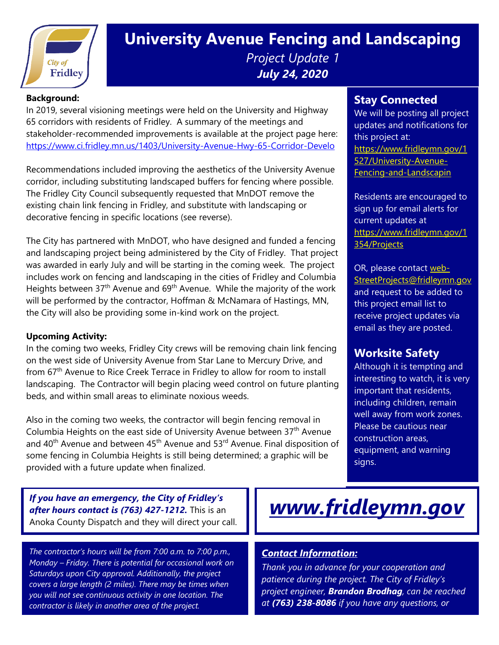

# **University Avenue Fencing and Landscaping** *Project Update 1 July 24, 2020*

#### **Background:**

In 2019, several visioning meetings were held on the University and Highway 65 corridors with residents of Fridley. A summary of the meetings and stakeholder-recommended improvements is available at the project page here: <https://www.ci.fridley.mn.us/1403/University-Avenue-Hwy-65-Corridor-Develo>

Recommendations included improving the aesthetics of the University Avenue corridor, including substituting landscaped buffers for fencing where possible. The Fridley City Council subsequently requested that MnDOT remove the existing chain link fencing in Fridley, and substitute with landscaping or decorative fencing in specific locations (see reverse).

The City has partnered with MnDOT, who have designed and funded a fencing and landscaping project being administered by the City of Fridley. That project was awarded in early July and will be starting in the coming week. The project includes work on fencing and landscaping in the cities of Fridley and Columbia Heights between  $37<sup>th</sup>$  Avenue and  $69<sup>th</sup>$  Avenue. While the majority of the work will be performed by the contractor, Hoffman & McNamara of Hastings, MN, the City will also be providing some in-kind work on the project.

#### **Upcoming Activity:**

In the coming two weeks, Fridley City crews will be removing chain link fencing on the west side of University Avenue from Star Lane to Mercury Drive, and from 67<sup>th</sup> Avenue to Rice Creek Terrace in Fridley to allow for room to install landscaping. The Contractor will begin placing weed control on future planting beds, and within small areas to eliminate noxious weeds.

Also in the coming two weeks, the contractor will begin fencing removal in Columbia Heights on the east side of University Avenue between  $37<sup>th</sup>$  Avenue and  $40<sup>th</sup>$  Avenue and between  $45<sup>th</sup>$  Avenue and  $53<sup>rd</sup>$  Avenue. Final disposition of some fencing in Columbia Heights is still being determined; a graphic will be provided with a future update when finalized.

*If you have an emergency, the City of Fridley's after hours contact is (763) 427-1212.* This is an Anoka County Dispatch and they will direct your call.

*The contractor's hours will be from 7:00 a.m. to 7:00 p.m., Monday – Friday. There is potential for occasional work on Saturdays upon City approval. Additionally, the project covers a large length (2 miles). There may be times when you will not see continuous activity in one location. The contractor is likely in another area of the project.*

#### **Stay Connected**

We will be posting all project updates and notifications for this project at: [https://www.fridleymn.gov/1](https://www.fridleymn.gov/1527/University-Avenue-Fencing-and-Landscapin) [527/University-Avenue-](https://www.fridleymn.gov/1527/University-Avenue-Fencing-and-Landscapin)[Fencing-and-Landscapin](https://www.fridleymn.gov/1527/University-Avenue-Fencing-and-Landscapin)

Residents are encouraged to sign up for email alerts for current updates at [https://www.fridleymn.gov/1](https://www.fridleymn.gov/1354/Projects) [354/Projects](https://www.fridleymn.gov/1354/Projects)

OR, please contact [web-](mailto:web-StreetProjects@fridleymn.gov)[StreetProjects@fridleymn.gov](mailto:web-StreetProjects@fridleymn.gov) and request to be added to this project email list to receive project updates via email as they are posted.

## **Worksite Safety**

Although it is tempting and interesting to watch, it is very important that residents, including children, remain well away from work zones. Please be cautious near construction areas, equipment, and warning signs.

# *[www.fridleymn.gov](http://www.fridleymn.gov/)*

### *Contact Information:*

*Thank you in advance for your cooperation and patience during the project. The City of Fridley's project engineer, Brandon Brodhag, can be reached at (763) 238-8086 if you have any questions, or*